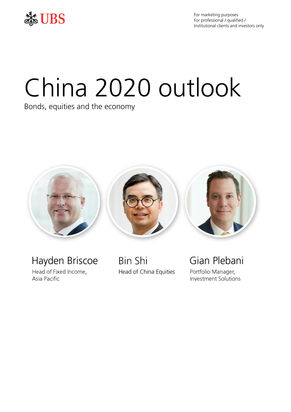

For marketing purposes For professional / qualified / Institutional clients and investors only

# China 2020 outlook

Bonds, equities and the economy



Hayden Briscoe Head of Fixed Income, Asia Pacific

**Bin Shi** Head of China Equities Gian Plebani Portfolio Manager, **Investment Solutions**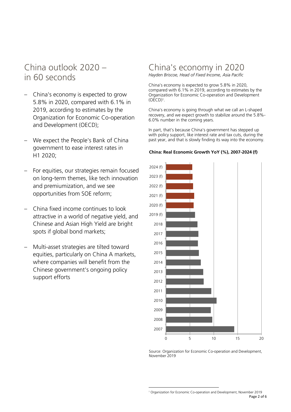# China outlook 2020 – in 60 seconds

- China's economy is expected to grow 5.8% in 2020, compared with 6.1% in 2019, according to estimates by the Organization for Economic Co-operation and Development (OECD);
- We expect the People's Bank of China government to ease interest rates in H1 2020;
- For equities, our strategies remain focused on long-term themes, like tech innovation and premiumization, and we see opportunities from SOE reform;
- China fixed income continues to look attractive in a world of negative yield, and Chinese and Asian High Yield are bright spots if global bond markets;
- Multi-asset strategies are tilted toward equities, particularly on China A markets, where companies will benefit from the Chinese government's ongoing policy support efforts

## China's economy in 2020 *Hayden Briscoe, Head of Fixed Income, Asia Pacific*

China's economy is expected to grow 5.8% in 2020, compared with 6.1% in 2019, according to estimates by the Organization for Economic Co-operation and Development (OECD)<sup>1</sup> .

China's economy is going through what we call an L-shaped recovery, and we expect growth to stabilize around the 5.8%- 6.0% number in the coming years.

In part, that's because China's government has stepped up with policy support, like interest rate and tax cuts, during the past year, and that is slowly finding its way into the economy.

#### **China: Real Economic Growth YoY (%), 2007-2024 (f)**



Source: Organization for Economic Co-operation and Development, November 2019

Page 2 of 6  $\overline{a}$ <sup>1</sup> Organization for Economic Co-operation and Development, November 2019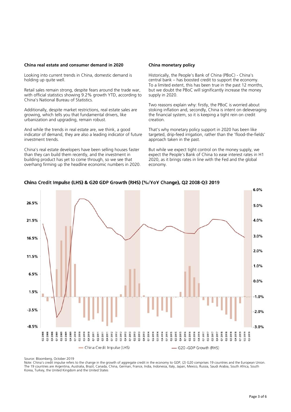#### **China real estate and consumer demand in 2020**

Looking into current trends in China, domestic demand is holding up quite well.

Retail sales remain strong, despite fears around the trade war, with official statistics showing 9.2% growth YTD, according to China's National Bureau of Statistics.

Additionally, despite market restrictions, real estate sales are growing, which tells you that fundamental drivers, like urbanization and upgrading, remain robust.

And while the trends in real estate are, we think, a good indicator of demand, they are also a leading indicator of future investment trends.

China's real estate developers have been selling houses faster than they can build them recently, and the investment in building product has yet to come through, so we see that overhang firming up the headline economic numbers in 2020.

#### **China monetary policy**

Historically, the People's Bank of China (PBoC) - China's central bank – has boosted credit to support the economy. To a limited extent, this has been true in the past 12 months, but we doubt the PBoC will significantly increase the money supply in 2020.

Two reasons explain why: firstly, the PBoC is worried about stoking inflation and, secondly, China is intent on deleveraging the financial system, so it is keeping a tight rein on credit creation.

That's why monetary policy support in 2020 has been like targeted, drip-feed irrigation, rather than the 'flood-the-fields' approach taken in the past.

But while we expect tight control on the money supply, we expect the People's Bank of China to ease interest rates in H1 2020, as it brings rates in line with the Fed and the global economy.



China Credit Impulse (LHS) & G20 GDP Growth (RHS) (%/YoY Change), Q2 2008-Q3 2019

Source: Bloomberg, October 2019

Note: China's credit impulse refers to the change in the growth of aggregate credit in the economy to GDP, (2) G20 comprises 19 countries and the European Union. The 19 countries are Argentina, Australia, Brazil, Canada, China, German, France, India, Indonesia, Italy, Japan, Mexico, Russia, Saudi Arabia, South Africa, South Korea, Turkey, the United Kingdom and the United States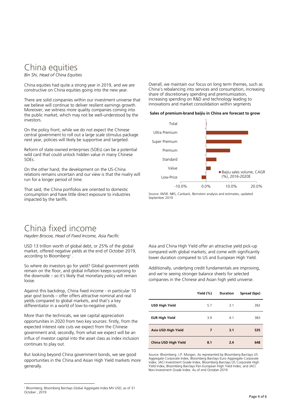### China equities *Bin Shi, Head of China Equities*

China equities had quite a strong year in 2019, and we are constructive on China equities going into the new year.

There are solid companies within our investment universe that we believe will continue to deliver resilient earnings growth. Moreover, we witness more quality companies coming into the public market, which may not be well-understood by the investors.

On the policy front, while we do not expect the Chinese central government to roll out a large scale stimulus package next year, policies will likely be supportive and targeted.

Reform of state-owned enterprises (SOEs) can be a potential wild card that could unlock hidden value in many Chinese SOEs.

On the other hand, the development on the US-China relations remains uncertain and our view is that the rivalry will run for a longer period of time.

That said, the China portfolios are oriented to domestic consumption and have little direct exposure to industries impacted by the tariffs.

# China fixed income

*Hayden Briscoe, Head of Fixed Income, Asia Pacific*

USD 13 trillion worth of global debt, or 25% of the global market, offered negative yields at the end of October 2019, according to Bloomberg<sup>1</sup>.

So where do investors go for yield? Global government yields remain on the floor, and global inflation keeps surprising to the downside – so it's likely that monetary policy will remain loose.

Against this backdrop, China fixed income - in particular 10 year govt bonds – offer offers attractive nominal and real yields compared to global markets, and that's a key differentiator in a world of low-to-negative yields.

More than the technicals, we see capital appreciation opportunities in 2020 from two key sources: firstly, from the expected interest rate cuts we expect from the Chinese government and, secondly, from what we expect will be an influx of investor capital into the asset class as index inclusion continues to play out.

But looking beyond China government bonds, we see good opportunities in the China and Asian High Yield markets more generally.

 $\overline{a}$ 

Overall, we maintain our focus on long term themes, such as China's rebalancing into services and consumption, increasing share of discretionary spending and premiumization, increasing spending on R&D and technology leading to innovations and market consolidation within segments

#### **Sales of premium-brand baijiu in China are forecast to grow**



Source: IWSR. NBS, Canback, Bernstein analysis and estimates, updated September 2019

Asia and China High Yield offer an attractive yield pick-up compared with global markets, and come with significantly lower duration compared to US and European High Yield.

Additionally, underlying credit fundamentals are improving, and we're seeing stronger balance sheets for selected companies in the Chinese and Asian high yield universe.

|                       | Yield (%) | <b>Duration</b> | Spread (bps) |
|-----------------------|-----------|-----------------|--------------|
| <b>USD High Yield</b> | 5.7       | 3.1             | 392          |
| <b>EUR High Yield</b> | 3.9       | 4.1             | 383          |
| Asia USD High Yield   | 7         | 3.1             | 535          |
| China USD High Yield  | 8.1       | 2.4             | 648          |

Source: Bloomberg. J.P. Morgan. As represented by Bloomberg Barclays US Aggregate Corporate Index, Bloomberg Barclays Euro Aggregate Corporate index. JACI Investment Grade Index, Bloomberg Barclays US Corporate High Yield Index, Bloomberg Barclays Pan-European High Yield Index, and JACI Non-Investment Grade Index. As of end October 2019

<sup>1</sup> Bloomberg, Bloomberg Barclays Global Aggregate Index MV USD, as of 31 October , 2019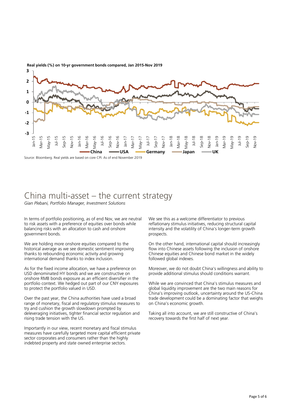

**Real yields (%) on 10-yr government bonds compared, Jan 2015-Nov 2019**

Source: Bloomberg. Real yields are based on core CPI. As of end November 2019

## China multi-asset – the current strategy *Gian Plebani, Portfolio Manager, Investment Solutions*

In terms of portfolio positioning, as of end Nov, we are neutral to risk assets with a preference of equities over bonds while balancing risks with an allocation to cash and onshore government bonds.

We are holding more onshore equities compared to the historical average as we see domestic sentiment improving thanks to rebounding economic activity and growing international demand thanks to index inclusion.

As for the fixed income allocation, we have a preference on USD denominated HY bonds and we are constructive on onshore RMB bonds exposure as an efficient diversifier in the portfolio context. We hedged out part of our CNY exposures to protect the portfolio valued in USD.

Over the past year, the China authorities have used a broad range of monetary, fiscal and regulatory stimulus measures to try and cushion the growth slowdown prompted by deleveraging initiatives, tighter financial sector regulation and rising trade tension with the US.

Importantly in our view, recent monetary and fiscal stimulus measures have carefully targeted more capital efficient private sector corporates and consumers rather than the highly indebted property and state owned enterprise sectors.

We see this as a welcome differentiator to previous reflationary stimulus initiatives, reducing structural capital intensity and the volatility of China's longer-term growth prospects.

On the other hand, international capital should increasingly flow into Chinese assets following the inclusion of onshore Chinese equities and Chinese bond market in the widely followed global indexes.

Moreover, we do not doubt China's willingness and ability to provide additional stimulus should conditions warrant.

While we are convinced that China's stimulus measures and global liquidity improvement are the two main reasons for China's improving outlook, uncertainty around the US-China trade development could be a dominating factor that weighs on China's economic growth.

Taking all into account, we are still constructive of China's recovery towards the first half of next year.